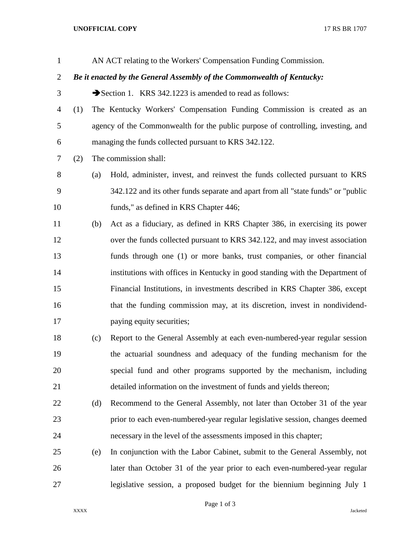## **UNOFFICIAL COPY** 17 RS BR 1707

| $\mathbf{1}$   |                                                                        |     | AN ACT relating to the Workers' Compensation Funding Commission.                 |  |  |  |  |
|----------------|------------------------------------------------------------------------|-----|----------------------------------------------------------------------------------|--|--|--|--|
| $\overline{c}$ | Be it enacted by the General Assembly of the Commonwealth of Kentucky: |     |                                                                                  |  |  |  |  |
| 3              |                                                                        |     | Section 1. KRS 342.1223 is amended to read as follows:                           |  |  |  |  |
| 4              | (1)                                                                    |     | The Kentucky Workers' Compensation Funding Commission is created as an           |  |  |  |  |
| 5              |                                                                        |     | agency of the Commonwealth for the public purpose of controlling, investing, and |  |  |  |  |
| 6              |                                                                        |     | managing the funds collected pursuant to KRS 342.122.                            |  |  |  |  |
| 7              | (2)                                                                    |     | The commission shall:                                                            |  |  |  |  |
| 8              |                                                                        | (a) | Hold, administer, invest, and reinvest the funds collected pursuant to KRS       |  |  |  |  |
| 9              |                                                                        |     | 342.122 and its other funds separate and apart from all "state funds" or "public |  |  |  |  |
| 10             |                                                                        |     | funds," as defined in KRS Chapter 446;                                           |  |  |  |  |
| 11             |                                                                        | (b) | Act as a fiduciary, as defined in KRS Chapter 386, in exercising its power       |  |  |  |  |
| 12             |                                                                        |     | over the funds collected pursuant to KRS 342.122, and may invest association     |  |  |  |  |
| 13             |                                                                        |     | funds through one (1) or more banks, trust companies, or other financial         |  |  |  |  |
| 14             |                                                                        |     | institutions with offices in Kentucky in good standing with the Department of    |  |  |  |  |
| 15             |                                                                        |     | Financial Institutions, in investments described in KRS Chapter 386, except      |  |  |  |  |
| 16             |                                                                        |     | that the funding commission may, at its discretion, invest in nondividend-       |  |  |  |  |
| 17             |                                                                        |     | paying equity securities;                                                        |  |  |  |  |
| 18             |                                                                        | (c) | Report to the General Assembly at each even-numbered-year regular session        |  |  |  |  |
| 19             |                                                                        |     | the actuarial soundness and adequacy of the funding mechanism for the            |  |  |  |  |
| 20             |                                                                        |     | special fund and other programs supported by the mechanism, including            |  |  |  |  |
| 21             |                                                                        |     | detailed information on the investment of funds and yields thereon;              |  |  |  |  |
| 22             |                                                                        | (d) | Recommend to the General Assembly, not later than October 31 of the year         |  |  |  |  |
| 23             |                                                                        |     | prior to each even-numbered-year regular legislative session, changes deemed     |  |  |  |  |
| 24             |                                                                        |     | necessary in the level of the assessments imposed in this chapter;               |  |  |  |  |
| 25             |                                                                        | (e) | In conjunction with the Labor Cabinet, submit to the General Assembly, not       |  |  |  |  |
| 26             |                                                                        |     | later than October 31 of the year prior to each even-numbered-year regular       |  |  |  |  |
| 27             |                                                                        |     | legislative session, a proposed budget for the biennium beginning July 1         |  |  |  |  |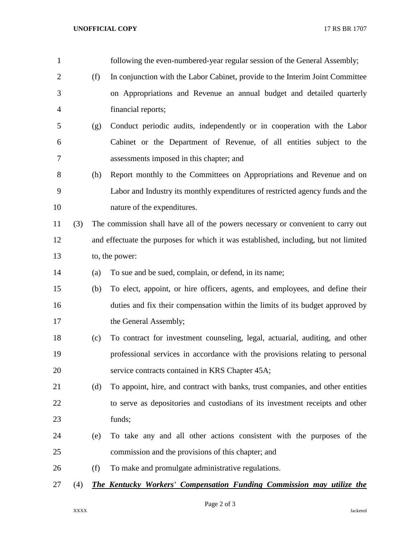| $\mathbf{1}$   |     |     | following the even-numbered-year regular session of the General Assembly;            |
|----------------|-----|-----|--------------------------------------------------------------------------------------|
| $\overline{2}$ |     | (f) | In conjunction with the Labor Cabinet, provide to the Interim Joint Committee        |
| 3              |     |     | on Appropriations and Revenue an annual budget and detailed quarterly                |
| $\overline{4}$ |     |     | financial reports;                                                                   |
| 5              |     | (g) | Conduct periodic audits, independently or in cooperation with the Labor              |
| 6              |     |     | Cabinet or the Department of Revenue, of all entities subject to the                 |
| 7              |     |     | assessments imposed in this chapter; and                                             |
| 8              |     | (h) | Report monthly to the Committees on Appropriations and Revenue and on                |
| 9              |     |     | Labor and Industry its monthly expenditures of restricted agency funds and the       |
| 10             |     |     | nature of the expenditures.                                                          |
| 11             | (3) |     | The commission shall have all of the powers necessary or convenient to carry out     |
| 12             |     |     | and effectuate the purposes for which it was established, including, but not limited |
| 13             |     |     | to, the power:                                                                       |
| 14             |     | (a) | To sue and be sued, complain, or defend, in its name;                                |
| 15             |     | (b) | To elect, appoint, or hire officers, agents, and employees, and define their         |
| 16             |     |     | duties and fix their compensation within the limits of its budget approved by        |
| 17             |     |     | the General Assembly;                                                                |
| 18             |     | (c) | To contract for investment counseling, legal, actuarial, auditing, and other         |
| 19             |     |     | professional services in accordance with the provisions relating to personal         |
| 20             |     |     | service contracts contained in KRS Chapter 45A;                                      |
| 21             |     | (d) | To appoint, hire, and contract with banks, trust companies, and other entities       |
| 22             |     |     | to serve as depositories and custodians of its investment receipts and other         |
| 23             |     |     | funds;                                                                               |
| 24             |     | (e) | To take any and all other actions consistent with the purposes of the                |
| 25             |     |     | commission and the provisions of this chapter; and                                   |
| 26             |     | (f) | To make and promulgate administrative regulations.                                   |
| 27             | (4) |     | <b>The Kentucky Workers' Compensation Funding Commission may utilize the</b>         |